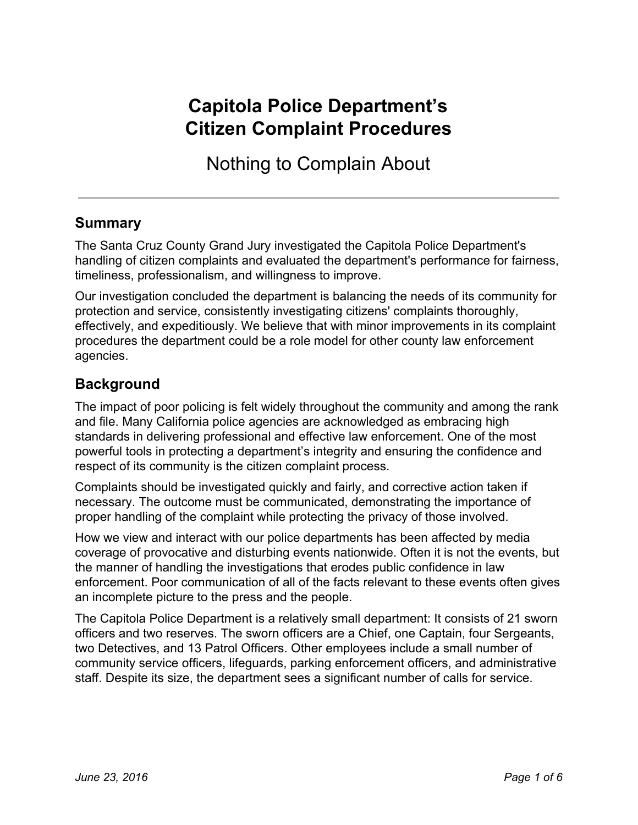# **Capitola Police Department's Citizen Complaint Procedures**

Nothing to Complain About

## **Summary**

The Santa Cruz County Grand Jury investigated the Capitola Police Department's handling of citizen complaints and evaluated the department's performance for fairness, timeliness, professionalism, and willingness to improve.

Our investigation concluded the department is balancing the needs of its community for protection and service, consistently investigating citizens' complaints thoroughly, effectively, and expeditiously. We believe that with minor improvements in its complaint procedures the department could be a role model for other county law enforcement agencies.

#### **Background**

The impact of poor policing is felt widely throughout the community and among the rank and file. Many California police agencies are acknowledged as embracing high standards in delivering professional and effective law enforcement. One of the most powerful tools in protecting a department's integrity and ensuring the confidence and respect of its community is the citizen complaint process.

Complaints should be investigated quickly and fairly, and corrective action taken if necessary. The outcome must be communicated, demonstrating the importance of proper handling of the complaint while protecting the privacy of those involved.

How we view and interact with our police departments has been affected by media coverage of provocative and disturbing events nationwide. Often it is not the events, but the manner of handling the investigations that erodes public confidence in law enforcement. Poor communication of all of the facts relevant to these events often gives an incomplete picture to the press and the people.

The Capitola Police Department is a relatively small department: It consists of 21 sworn officers and two reserves. The sworn officers are a Chief, one Captain, four Sergeants, two Detectives, and 13 Patrol Officers. Other employees include a small number of community service officers, lifeguards, parking enforcement officers, and administrative staff. Despite its size, the department sees a significant number of calls for service.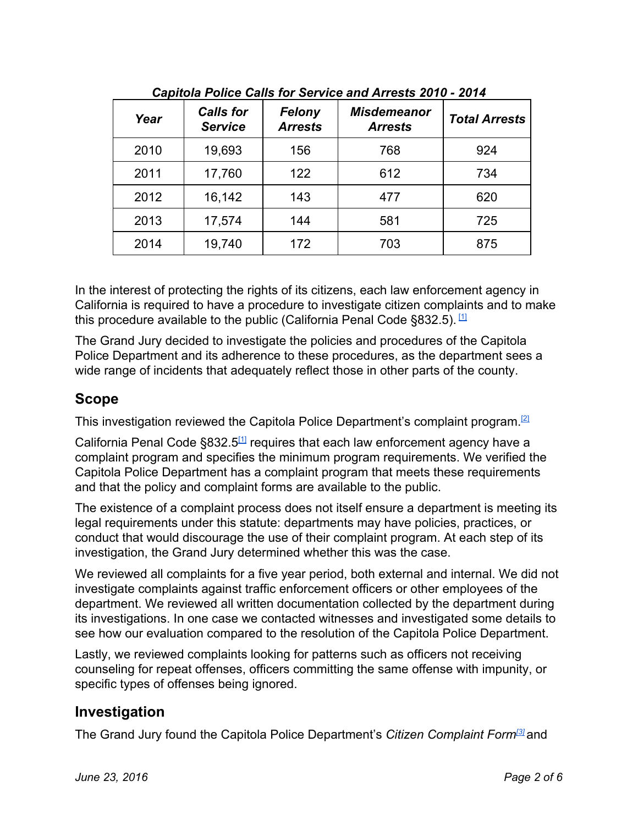| Year | <b>Calls for</b><br><b>Service</b> | Felony<br><b>Arrests</b> | <b>Misdemeanor</b><br><b>Arrests</b> | <b>Total Arrests</b> |  |  |  |
|------|------------------------------------|--------------------------|--------------------------------------|----------------------|--|--|--|
| 2010 | 19,693                             | 156                      | 768                                  | 924                  |  |  |  |
| 2011 | 17,760                             | 122                      | 612                                  | 734                  |  |  |  |
| 2012 | 16,142                             | 143                      | 477                                  | 620                  |  |  |  |
| 2013 | 17,574                             | 144                      | 581                                  | 725                  |  |  |  |
| 2014 | 19,740                             | 172                      | 703                                  | 875                  |  |  |  |

*Capitola Police Calls for Service and Arrests 2010 2014*

In the interest of protecting the rights of its citizens, each law enforcement agency in California is required to have a procedure to investigate citizen complaints and to make this procedure available to the public (California Penal Code §832.5). [\[1\]](http://www.leginfo.ca.gov/cgi-bin/displaycode?section=pen&group=00001-01000&file=830-832.18)

The Grand Jury decided to investigate the policies and procedures of the Capitola Police Department and its adherence to these procedures, as the department sees a wide range of incidents that adequately reflect those in other parts of the county.

# **Scope**

This investigation reviewed the Capitola Police Department's complaint program.<sup>[\[2\]](http://www.cityofcapitola.org/sites/default/files/fileattachments/police/page/2459/policy_1020_cpd_personnel_complaints.pdf)</sup>

California Penal Code §832.5<sup>[\[1\]](http://www.leginfo.ca.gov/cgi-bin/displaycode?section=pen&group=00001-01000&file=830-832.18)</sup> requires that each law enforcement agency have a complaint program and specifies the minimum program requirements. We verified the Capitola Police Department has a complaint program that meets these requirements and that the policy and complaint forms are available to the public.

The existence of a complaint process does not itself ensure a department is meeting its legal requirements under this statute: departments may have policies, practices, or conduct that would discourage the use of their complaint program. At each step of its investigation, the Grand Jury determined whether this was the case.

We reviewed all complaints for a five year period, both external and internal. We did not investigate complaints against traffic enforcement officers or other employees of the department. We reviewed all written documentation collected by the department during its investigations. In one case we contacted witnesses and investigated some details to see how our evaluation compared to the resolution of the Capitola Police Department.

Lastly, we reviewed complaints looking for patterns such as officers not receiving counseling for repeat offenses, officers committing the same offense with impunity, or specific types of offenses being ignored.

# **Investigation**

The Grand Jury found the Capitola Police Department's *Citizen Complaint Form[\[3\]](http://www.cityofcapitola.org/sites/default/files/fileattachments/police/page/2459/capitola_police_department_citizen_complaint_form_updated_030216.pdf)* and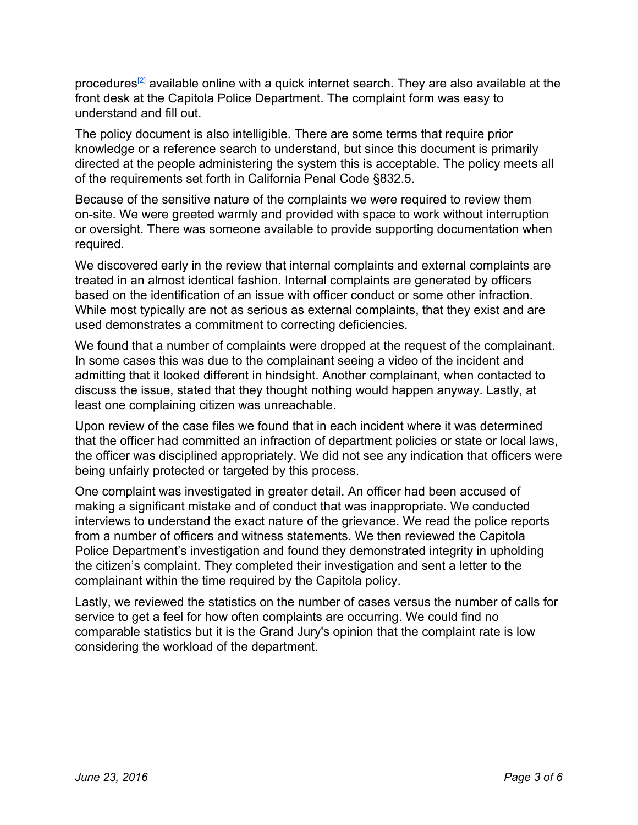procedures<sup>[\[2\]](http://www.cityofcapitola.org/sites/default/files/fileattachments/police/page/2459/policy_1020_cpd_personnel_complaints.pdf)</sup> available online with a quick internet search. They are also available at the front desk at the Capitola Police Department. The complaint form was easy to understand and fill out.

The policy document is also intelligible. There are some terms that require prior knowledge or a reference search to understand, but since this document is primarily directed at the people administering the system this is acceptable. The policy meets all of the requirements set forth in California Penal Code §832.5.

Because of the sensitive nature of the complaints we were required to review them on-site. We were greeted warmly and provided with space to work without interruption or oversight. There was someone available to provide supporting documentation when required.

We discovered early in the review that internal complaints and external complaints are treated in an almost identical fashion. Internal complaints are generated by officers based on the identification of an issue with officer conduct or some other infraction. While most typically are not as serious as external complaints, that they exist and are used demonstrates a commitment to correcting deficiencies.

We found that a number of complaints were dropped at the request of the complainant. In some cases this was due to the complainant seeing a video of the incident and admitting that it looked different in hindsight. Another complainant, when contacted to discuss the issue, stated that they thought nothing would happen anyway. Lastly, at least one complaining citizen was unreachable.

Upon review of the case files we found that in each incident where it was determined that the officer had committed an infraction of department policies or state or local laws, the officer was disciplined appropriately. We did not see any indication that officers were being unfairly protected or targeted by this process.

One complaint was investigated in greater detail. An officer had been accused of making a significant mistake and of conduct that was inappropriate. We conducted interviews to understand the exact nature of the grievance. We read the police reports from a number of officers and witness statements. We then reviewed the Capitola Police Department's investigation and found they demonstrated integrity in upholding the citizen's complaint. They completed their investigation and sent a letter to the complainant within the time required by the Capitola policy.

Lastly, we reviewed the statistics on the number of cases versus the number of calls for service to get a feel for how often complaints are occurring. We could find no comparable statistics but it is the Grand Jury's opinion that the complaint rate is low considering the workload of the department.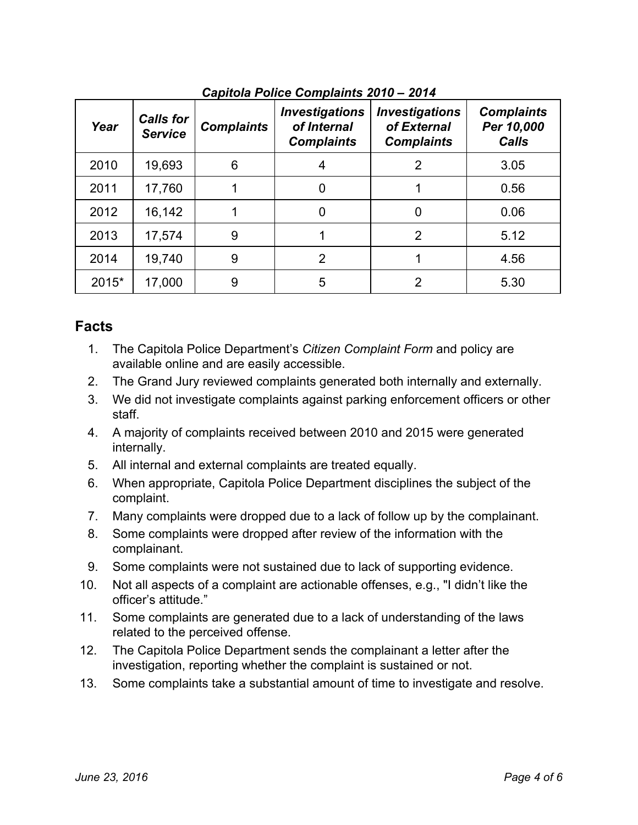| Year  | <b>Calls for</b><br><b>Service</b> | <b>Complaints</b> | <b>Investigations</b><br>of Internal<br><b>Complaints</b> | <b>Investigations</b><br>of External<br><b>Complaints</b> | <b>Complaints</b><br>Per 10,000<br><b>Calls</b> |
|-------|------------------------------------|-------------------|-----------------------------------------------------------|-----------------------------------------------------------|-------------------------------------------------|
| 2010  | 19,693                             | 6                 |                                                           | 2                                                         | 3.05                                            |
| 2011  | 17,760                             |                   | 0                                                         |                                                           | 0.56                                            |
| 2012  | 16,142                             |                   | 0                                                         | $\overline{0}$                                            | 0.06                                            |
| 2013  | 17,574                             | 9                 |                                                           | 2                                                         | 5.12                                            |
| 2014  | 19,740                             | 9                 | 2                                                         |                                                           | 4.56                                            |
| 2015* | 17,000                             | 9                 | 5                                                         |                                                           | 5.30                                            |

*Capitola Police Complaints 2010 – 2014*

# **Facts**

- 1. The Capitola Police Department's *Citizen Complaint Form* and policy are available online and are easily accessible.
- 2. The Grand Jury reviewed complaints generated both internally and externally.
- 3. We did not investigate complaints against parking enforcement officers or other staff.
- 4. A majority of complaints received between 2010 and 2015 were generated internally.
- 5. All internal and external complaints are treated equally.
- 6. When appropriate, Capitola Police Department disciplines the subject of the complaint.
- 7. Many complaints were dropped due to a lack of follow up by the complainant.
- 8. Some complaints were dropped after review of the information with the complainant.
- 9. Some complaints were not sustained due to lack of supporting evidence.
- 10. Not all aspects of a complaint are actionable offenses, e.g., "I didn't like the officer's attitude."
- 11. Some complaints are generated due to a lack of understanding of the laws related to the perceived offense.
- 12. The Capitola Police Department sends the complainant a letter after the investigation, reporting whether the complaint is sustained or not.
- 13. Some complaints take a substantial amount of time to investigate and resolve.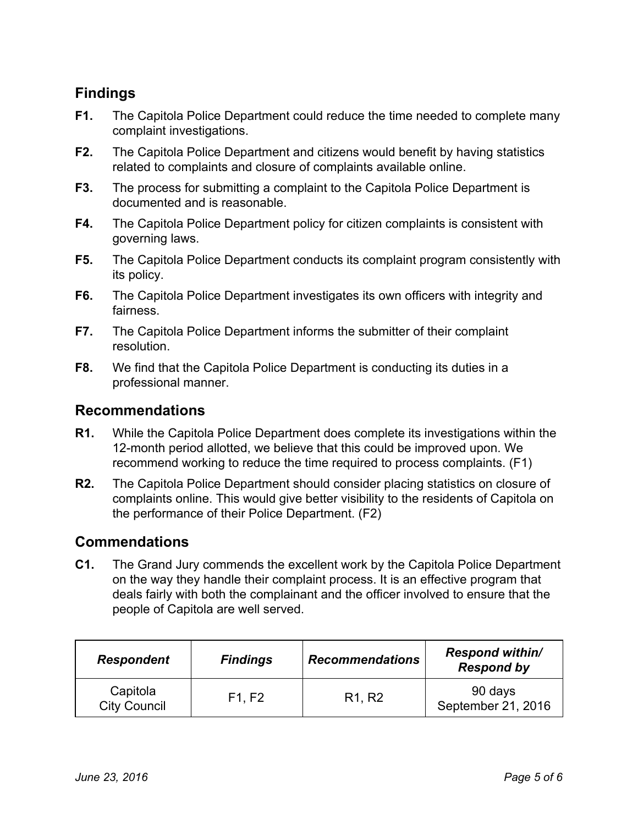# **Findings**

- **F1.** The Capitola Police Department could reduce the time needed to complete many complaint investigations.
- **F2.** The Capitola Police Department and citizens would benefit by having statistics related to complaints and closure of complaints available online.
- **F3.** The process for submitting a complaint to the Capitola Police Department is documented and is reasonable.
- **F4.** The Capitola Police Department policy for citizen complaints is consistent with governing laws.
- **F5.** The Capitola Police Department conducts its complaint program consistently with its policy.
- **F6.** The Capitola Police Department investigates its own officers with integrity and fairness.
- **F7.** The Capitola Police Department informs the submitter of their complaint resolution.
- **F8.** We find that the Capitola Police Department is conducting its duties in a professional manner.

#### **Recommendations**

- **R1.** While the Capitola Police Department does complete its investigations within the 12-month period allotted, we believe that this could be improved upon. We recommend working to reduce the time required to process complaints. (F1)
- **R2.** The Capitola Police Department should consider placing statistics on closure of complaints online. This would give better visibility to the residents of Capitola on the performance of their Police Department. (F2)

## **Commendations**

**C1.** The Grand Jury commends the excellent work by the Capitola Police Department on the way they handle their complaint process. It is an effective program that deals fairly with both the complainant and the officer involved to ensure that the people of Capitola are well served.

| <b>Respondent</b>               | <b>Findings</b> | <b>Recommendations</b>          | <b>Respond within/</b><br><b>Respond by</b> |
|---------------------------------|-----------------|---------------------------------|---------------------------------------------|
| Capitola<br><b>City Council</b> | F1, F2          | R <sub>1</sub> , R <sub>2</sub> | 90 days<br>September 21, 2016               |